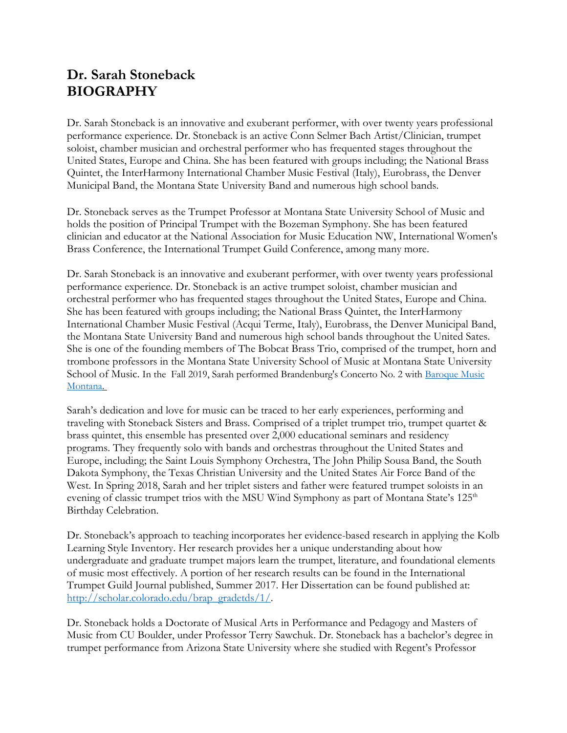## **Dr. Sarah Stoneback BIOGRAPHY**

Dr. Sarah Stoneback is an innovative and exuberant performer, with over twenty years professional performance experience. Dr. Stoneback is an active Conn Selmer Bach Artist/Clinician, trumpet soloist, chamber musician and orchestral performer who has frequented stages throughout the United States, Europe and China. She has been featured with groups including; the National Brass Quintet, the InterHarmony International Chamber Music Festival (Italy), Eurobrass, the Denver Municipal Band, the Montana State University Band and numerous high school bands.

Dr. Stoneback serves as the Trumpet Professor at Montana State University School of Music and holds the position of Principal Trumpet with the Bozeman Symphony. She has been featured clinician and educator at the National Association for Music Education NW, International Women's Brass Conference, the International Trumpet Guild Conference, among many more.

Dr. Sarah Stoneback is an innovative and exuberant performer, with over twenty years professional performance experience. Dr. Stoneback is an active trumpet soloist, chamber musician and orchestral performer who has frequented stages throughout the United States, Europe and China. She has been featured with groups including; the National Brass Quintet, the InterHarmony International Chamber Music Festival (Acqui Terme, Italy), Eurobrass, the Denver Municipal Band, the Montana State University Band and numerous high school bands throughout the United Sates. She is one of the founding members of The Bobcat Brass Trio, comprised of the trumpet, horn and trombone professors in the Montana State University School of Music at Montana State University School of Music. In the Fall 2019, Sarah performed Brandenburg's Concerto No. 2 with Baroque Music Montana.

Sarah's dedication and love for music can be traced to her early experiences, performing and traveling with Stoneback Sisters and Brass. Comprised of a triplet trumpet trio, trumpet quartet & brass quintet, this ensemble has presented over 2,000 educational seminars and residency programs. They frequently solo with bands and orchestras throughout the United States and Europe, including; the Saint Louis Symphony Orchestra, The John Philip Sousa Band, the South Dakota Symphony, the Texas Christian University and the United States Air Force Band of the West. In Spring 2018, Sarah and her triplet sisters and father were featured trumpet soloists in an evening of classic trumpet trios with the MSU Wind Symphony as part of Montana State's  $125<sup>th</sup>$ Birthday Celebration.

Dr. Stoneback's approach to teaching incorporates her evidence-based research in applying the Kolb Learning Style Inventory. Her research provides her a unique understanding about how undergraduate and graduate trumpet majors learn the trumpet, literature, and foundational elements of music most effectively. A portion of her research results can be found in the International Trumpet Guild Journal published, Summer 2017. Her Dissertation can be found published at: http://scholar.colorado.edu/brap\_gradetds/1/.

Dr. Stoneback holds a Doctorate of Musical Arts in Performance and Pedagogy and Masters of Music from CU Boulder, under Professor Terry Sawchuk. Dr. Stoneback has a bachelor's degree in trumpet performance from Arizona State University where she studied with Regent's Professor